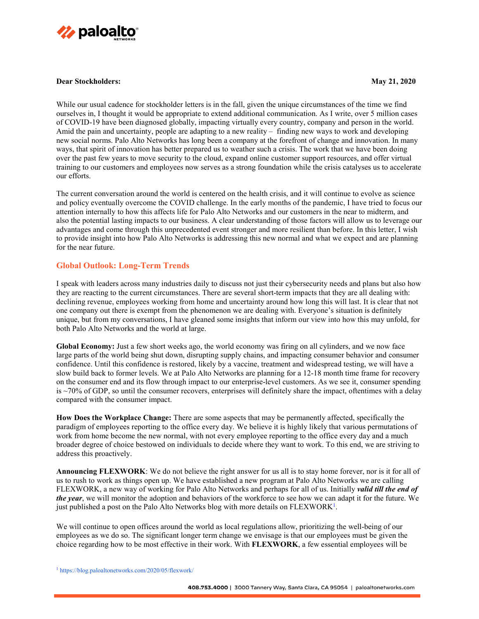

#### **Dear Stockholders: May 21, 2020**

While our usual cadence for stockholder letters is in the fall, given the unique circumstances of the time we find ourselves in, I thought it would be appropriate to extend additional communication. As I write, over 5 million cases of COVID-19 have been diagnosed globally, impacting virtually every country, company and person in the world. Amid the pain and uncertainty, people are adapting to a new reality – finding new ways to work and developing new social norms. Palo Alto Networks has long been a company at the forefront of change and innovation. In many ways, that spirit of innovation has better prepared us to weather such a crisis. The work that we have been doing over the past few years to move security to the cloud, expand online customer support resources, and offer virtual training to our customers and employees now serves as a strong foundation while the crisis catalyses us to accelerate our efforts.

The current conversation around the world is centered on the health crisis, and it will continue to evolve as science and policy eventually overcome the COVID challenge. In the early months of the pandemic, I have tried to focus our attention internally to how this affects life for Palo Alto Networks and our customers in the near to midterm, and also the potential lasting impacts to our business. A clear understanding of those factors will allow us to leverage our advantages and come through this unprecedented event stronger and more resilient than before. In this letter, I wish to provide insight into how Palo Alto Networks is addressing this new normal and what we expect and are planning for the near future.

### **Global Outlook: Long-Term Trends**

I speak with leaders across many industries daily to discuss not just their cybersecurity needs and plans but also how they are reacting to the current circumstances. There are several short-term impacts that they are all dealing with: declining revenue, employees working from home and uncertainty around how long this will last. It is clear that not one company out there is exempt from the phenomenon we are dealing with. Everyone's situation is definitely unique, but from my conversations, I have gleaned some insights that inform our view into how this may unfold, for both Palo Alto Networks and the world at large.

**Global Economy:** Just a few short weeks ago, the world economy was firing on all cylinders, and we now face large parts of the world being shut down, disrupting supply chains, and impacting consumer behavior and consumer confidence. Until this confidence is restored, likely by a vaccine, treatment and widespread testing, we will have a slow build back to former levels. We at Palo Alto Networks are planning for a 12-18 month time frame for recovery on the consumer end and its flow through impact to our enterprise-level customers. As we see it, consumer spending is ~70% of GDP, so until the consumer recovers, enterprises will definitely share the impact, oftentimes with a delay compared with the consumer impact.

**How Does the Workplace Change:** There are some aspects that may be permanently affected, specifically the paradigm of employees reporting to the office every day. We believe it is highly likely that various permutations of work from home become the new normal, with not every employee reporting to the office every day and a much broader degree of choice bestowed on individuals to decide where they want to work. To this end, we are striving to address this proactively.

**Announcing FLEXWORK**: We do not believe the right answer for us all is to stay home forever, nor is it for all of us to rush to work as things open up. We have established a new program at Palo Alto Networks we are calling FLEXWORK, a new way of working for Palo Alto Networks and perhaps for all of us. Initially *valid till the end of the year*, we will monitor the adoption and behaviors of the workforce to see how we can adapt it for the future. We just published a post on the Palo Alto Networks blog with more details on FLEXWORK<sup>1</sup>.

We will continue to open offices around the world as local regulations allow, prioritizing the well-being of our employees as we do so. The significant longer term change we envisage is that our employees must be given the choice regarding how to be most effective in their work. With **FLEXWORK**, a few essential employees will be

<sup>1</sup> https://blog.paloaltonetworks.com/2020/05/flexwork/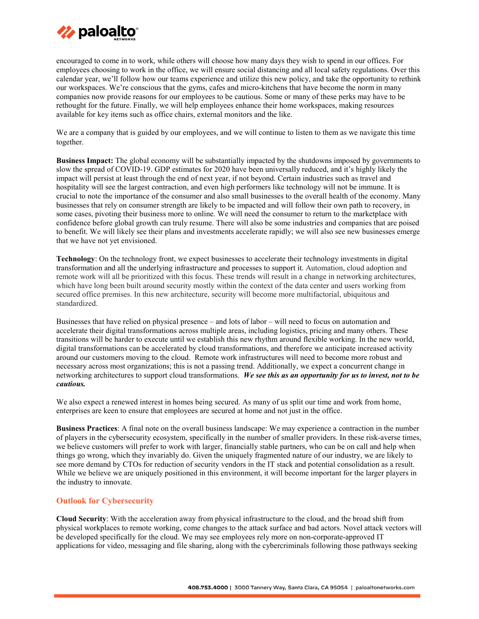

encouraged to come in to work, while others will choose how many days they wish to spend in our offices. For employees choosing to work in the office, we will ensure social distancing and all local safety regulations. Over this calendar year, we'll follow how our teams experience and utilize this new policy, and take the opportunity to rethink our workspaces. We're conscious that the gyms, cafes and micro-kitchens that have become the norm in many companies now provide reasons for our employees to be cautious. Some or many of these perks may have to be rethought for the future. Finally, we will help employees enhance their home workspaces, making resources available for key items such as office chairs, external monitors and the like.

We are a company that is guided by our employees, and we will continue to listen to them as we navigate this time together.

**Business Impact:** The global economy will be substantially impacted by the shutdowns imposed by governments to slow the spread of COVID-19. GDP estimates for 2020 have been universally reduced, and it's highly likely the impact will persist at least through the end of next year, if not beyond. Certain industries such as travel and hospitality will see the largest contraction, and even high performers like technology will not be immune. It is crucial to note the importance of the consumer and also small businesses to the overall health of the economy. Many businesses that rely on consumer strength are likely to be impacted and will follow their own path to recovery, in some cases, pivoting their business more to online. We will need the consumer to return to the marketplace with confidence before global growth can truly resume. There will also be some industries and companies that are poised to benefit. We will likely see their plans and investments accelerate rapidly; we will also see new businesses emerge that we have not yet envisioned.

**Technology**: On the technology front, we expect businesses to accelerate their technology investments in digital transformation and all the underlying infrastructure and processes to support it. Automation, cloud adoption and remote work will all be prioritized with this focus. These trends will result in a change in networking architectures, which have long been built around security mostly within the context of the data center and users working from secured office premises. In this new architecture, security will become more multifactorial, ubiquitous and standardized.

Businesses that have relied on physical presence – and lots of labor – will need to focus on automation and accelerate their digital transformations across multiple areas, including logistics, pricing and many others. These transitions will be harder to execute until we establish this new rhythm around flexible working. In the new world, digital transformations can be accelerated by cloud transformations, and therefore we anticipate increased activity around our customers moving to the cloud. Remote work infrastructures will need to become more robust and necessary across most organizations; this is not a passing trend. Additionally, we expect a concurrent change in networking architectures to support cloud transformations. *We see this as an opportunity for us to invest, not to be cautious.* 

We also expect a renewed interest in homes being secured. As many of us split our time and work from home, enterprises are keen to ensure that employees are secured at home and not just in the office.

**Business Practices**: A final note on the overall business landscape: We may experience a contraction in the number of players in the cybersecurity ecosystem, specifically in the number of smaller providers. In these risk-averse times, we believe customers will prefer to work with larger, financially stable partners, who can be on call and help when things go wrong, which they invariably do. Given the uniquely fragmented nature of our industry, we are likely to see more demand by CTOs for reduction of security vendors in the IT stack and potential consolidation as a result. While we believe we are uniquely positioned in this environment, it will become important for the larger players in the industry to innovate.

# **Outlook for Cybersecurity**

**Cloud Security**: With the acceleration away from physical infrastructure to the cloud, and the broad shift from physical workplaces to remote working, come changes to the attack surface and bad actors. Novel attack vectors will be developed specifically for the cloud. We may see employees rely more on non-corporate-approved IT applications for video, messaging and file sharing, along with the cybercriminals following those pathways seeking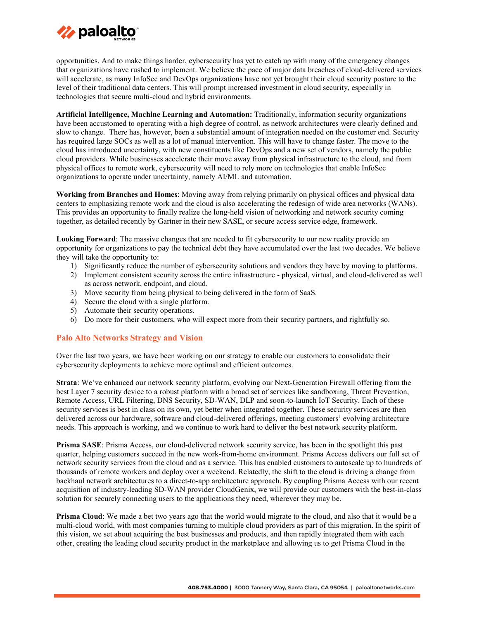

opportunities. And to make things harder, cybersecurity has yet to catch up with many of the emergency changes that organizations have rushed to implement. We believe the pace of major data breaches of cloud-delivered services will accelerate, as many InfoSec and DevOps organizations have not yet brought their cloud security posture to the level of their traditional data centers. This will prompt increased investment in cloud security, especially in technologies that secure multi-cloud and hybrid environments.

**Artificial Intelligence, Machine Learning and Automation:** Traditionally, information security organizations have been accustomed to operating with a high degree of control, as network architectures were clearly defined and slow to change. There has, however, been a substantial amount of integration needed on the customer end. Security has required large SOCs as well as a lot of manual intervention. This will have to change faster. The move to the cloud has introduced uncertainty, with new constituents like DevOps and a new set of vendors, namely the public cloud providers. While businesses accelerate their move away from physical infrastructure to the cloud, and from physical offices to remote work, cybersecurity will need to rely more on technologies that enable InfoSec organizations to operate under uncertainty, namely AI/ML and automation.

**Working from Branches and Homes**: Moving away from relying primarily on physical offices and physical data centers to emphasizing remote work and the cloud is also accelerating the redesign of wide area networks (WANs). This provides an opportunity to finally realize the long-held vision of networking and network security coming together, as detailed recently by Gartner in their new SASE, or secure access service edge, framework.

**Looking Forward:** The massive changes that are needed to fit cybersecurity to our new reality provide an opportunity for organizations to pay the technical debt they have accumulated over the last two decades. We believe they will take the opportunity to:

- 1) Significantly reduce the number of cybersecurity solutions and vendors they have by moving to platforms.
- 2) Implement consistent security across the entire infrastructure physical, virtual, and cloud-delivered as well as across network, endpoint, and cloud.
- 3) Move security from being physical to being delivered in the form of SaaS.
- 4) Secure the cloud with a single platform.
- 5) Automate their security operations.
- 6) Do more for their customers, who will expect more from their security partners, and rightfully so.

### **Palo Alto Networks Strategy and Vision**

Over the last two years, we have been working on our strategy to enable our customers to consolidate their cybersecurity deployments to achieve more optimal and efficient outcomes.

**Strata**: We've enhanced our network security platform, evolving our Next-Generation Firewall offering from the best Layer 7 security device to a robust platform with a broad set of services like sandboxing, Threat Prevention, Remote Access, URL Filtering, DNS Security, SD-WAN, DLP and soon-to-launch IoT Security. Each of these security services is best in class on its own, yet better when integrated together. These security services are then delivered across our hardware, software and cloud-delivered offerings, meeting customers' evolving architecture needs. This approach is working, and we continue to work hard to deliver the best network security platform.

**Prisma SASE**: Prisma Access, our cloud-delivered network security service, has been in the spotlight this past quarter, helping customers succeed in the new work-from-home environment. Prisma Access delivers our full set of network security services from the cloud and as a service. This has enabled customers to autoscale up to hundreds of thousands of remote workers and deploy over a weekend. Relatedly, the shift to the cloud is driving a change from backhaul network architectures to a direct-to-app architecture approach. By coupling Prisma Access with our recent acquisition of industry-leading SD-WAN provider CloudGenix, we will provide our customers with the best-in-class solution for securely connecting users to the applications they need, wherever they may be.

**Prisma Cloud**: We made a bet two years ago that the world would migrate to the cloud, and also that it would be a multi-cloud world, with most companies turning to multiple cloud providers as part of this migration. In the spirit of this vision, we set about acquiring the best businesses and products, and then rapidly integrated them with each other, creating the leading cloud security product in the marketplace and allowing us to get Prisma Cloud in the